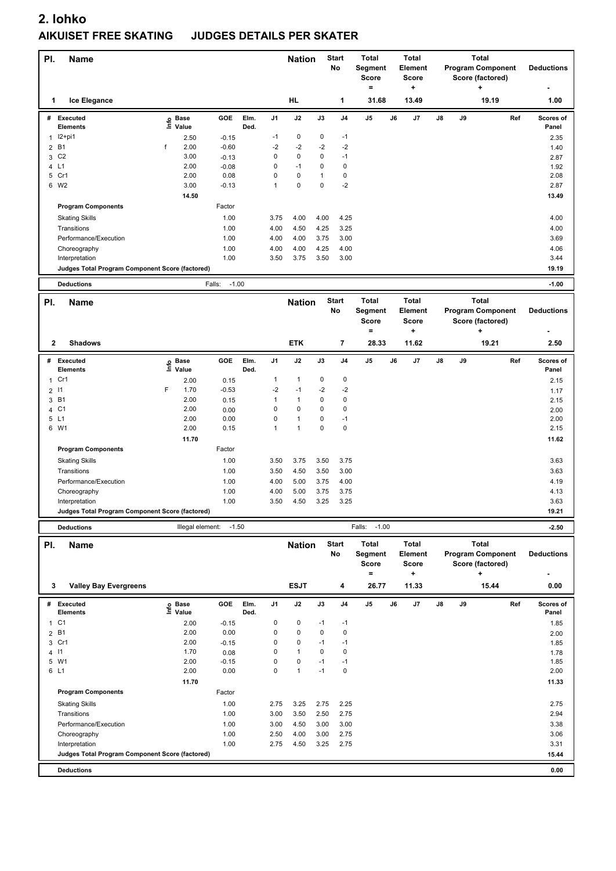| PI.          | <b>Name</b>                                                       |      |                                  |                    |              |                | <b>Nation</b>        |              | <b>Start</b><br>No | <b>Total</b><br>Segment<br><b>Score</b><br>$=$ |    | <b>Total</b><br><b>Element</b><br><b>Score</b><br>٠ |    |    | <b>Total</b><br><b>Program Component</b><br>Score (factored)<br>٠ |     | <b>Deductions</b>  |
|--------------|-------------------------------------------------------------------|------|----------------------------------|--------------------|--------------|----------------|----------------------|--------------|--------------------|------------------------------------------------|----|-----------------------------------------------------|----|----|-------------------------------------------------------------------|-----|--------------------|
| 1            | Ice Elegance                                                      |      |                                  |                    |              |                | HL                   |              | 1                  | 31.68                                          |    | 13.49                                               |    |    | 19.19                                                             |     | 1.00               |
|              | # Executed<br><b>Elements</b>                                     |      | <b>Base</b><br>e Base<br>≞ Value | GOE                | Elm.<br>Ded. | J <sub>1</sub> | J2                   | J3           | J4                 | J5                                             | J6 | J7                                                  | J8 | J9 |                                                                   | Ref | Scores of<br>Panel |
|              | $1$ $12+pi1$                                                      |      | 2.50                             | $-0.15$            |              | $-1$           | 0                    | 0            | $-1$               |                                                |    |                                                     |    |    |                                                                   |     | 2.35               |
| 2            | <b>B1</b><br>C <sub>2</sub>                                       | f    | 2.00<br>3.00                     | $-0.60$            |              | $-2$<br>0      | $-2$<br>0            | $-2$<br>0    | $-2$<br>$-1$       |                                                |    |                                                     |    |    |                                                                   |     | 1.40               |
| 3<br>4       | L1                                                                |      | 2.00                             | $-0.13$<br>$-0.08$ |              | 0              | $-1$                 | 0            | 0                  |                                                |    |                                                     |    |    |                                                                   |     | 2.87<br>1.92       |
|              | 5 Cr1                                                             |      | 2.00                             | 0.08               |              | 0              | 0                    | 1            | 0                  |                                                |    |                                                     |    |    |                                                                   |     | 2.08               |
|              | 6 W2                                                              |      | 3.00                             | $-0.13$            |              | 1              | 0                    | 0            | $-2$               |                                                |    |                                                     |    |    |                                                                   |     | 2.87               |
|              |                                                                   |      | 14.50                            |                    |              |                |                      |              |                    |                                                |    |                                                     |    |    |                                                                   |     | 13.49              |
|              | <b>Program Components</b>                                         |      |                                  | Factor             |              |                |                      |              |                    |                                                |    |                                                     |    |    |                                                                   |     |                    |
|              | <b>Skating Skills</b>                                             |      |                                  | 1.00               |              | 3.75           | 4.00                 | 4.00         | 4.25               |                                                |    |                                                     |    |    |                                                                   |     | 4.00               |
|              | Transitions<br>Performance/Execution                              |      |                                  | 1.00<br>1.00       |              | 4.00<br>4.00   | 4.50<br>4.00         | 4.25         | 3.25<br>3.00       |                                                |    |                                                     |    |    |                                                                   |     | 4.00<br>3.69       |
|              | Choreography                                                      |      |                                  | 1.00               |              | 4.00           | 4.00                 | 3.75<br>4.25 | 4.00               |                                                |    |                                                     |    |    |                                                                   |     | 4.06               |
|              | Interpretation                                                    |      |                                  | 1.00               |              | 3.50           | 3.75                 | 3.50         | 3.00               |                                                |    |                                                     |    |    |                                                                   |     | 3.44               |
|              | Judges Total Program Component Score (factored)                   |      |                                  |                    |              |                |                      |              |                    |                                                |    |                                                     |    |    |                                                                   |     | 19.19              |
|              | <b>Deductions</b>                                                 |      |                                  | $-1.00$<br>Falls:  |              |                |                      |              |                    |                                                |    |                                                     |    |    |                                                                   |     | $-1.00$            |
| PI.          | <b>Name</b>                                                       |      |                                  |                    |              |                | <b>Nation</b>        |              | <b>Start</b>       | <b>Total</b>                                   |    | <b>Total</b>                                        |    |    | <b>Total</b>                                                      |     |                    |
|              |                                                                   |      |                                  |                    |              |                |                      |              | No                 | Segment<br><b>Score</b><br>$\equiv$            |    | Element<br><b>Score</b><br>$\ddot{}$                |    |    | <b>Program Component</b><br>Score (factored)<br>٠                 |     | <b>Deductions</b>  |
| 2            | <b>Shadows</b>                                                    |      |                                  |                    |              |                | <b>ETK</b>           |              | 7                  | 28.33                                          |    | 11.62                                               |    |    | 19.21                                                             |     | 2.50               |
|              | # Executed                                                        | lnfo | Base                             | GOE                | Elm.         | J1             | J2                   | J3           | J4                 | J5                                             | J6 | J7                                                  | J8 | J9 |                                                                   | Ref | Scores of          |
|              | Elements                                                          |      | Value                            |                    | Ded.         |                |                      |              |                    |                                                |    |                                                     |    |    |                                                                   |     | Panel              |
| $\mathbf{1}$ | Cr1                                                               |      | 2.00                             | 0.15               |              | 1              | $\mathbf{1}$         | 0            | $\mathbf 0$        |                                                |    |                                                     |    |    |                                                                   |     | 2.15               |
| 2            | $\vert$ 1<br><b>B1</b>                                            | F    | 1.70<br>2.00                     | $-0.53$            |              | $-2$<br>1      | $-1$<br>$\mathbf{1}$ | $-2$<br>0    | $-2$<br>$\pmb{0}$  |                                                |    |                                                     |    |    |                                                                   |     | 1.17               |
| 3<br>4       | C <sub>1</sub>                                                    |      | 2.00                             | 0.15<br>0.00       |              | 0              | 0                    | 0            | $\pmb{0}$          |                                                |    |                                                     |    |    |                                                                   |     | 2.15<br>2.00       |
|              | 5 L1                                                              |      | 2.00                             | 0.00               |              | 0              | $\mathbf{1}$         | 0            | $-1$               |                                                |    |                                                     |    |    |                                                                   |     | 2.00               |
|              | 6 W1                                                              |      | 2.00                             | 0.15               |              | $\mathbf{1}$   | $\mathbf{1}$         | 0            | $\mathbf 0$        |                                                |    |                                                     |    |    |                                                                   |     | 2.15               |
|              |                                                                   |      | 11.70                            |                    |              |                |                      |              |                    |                                                |    |                                                     |    |    |                                                                   |     | 11.62              |
|              | <b>Program Components</b>                                         |      |                                  | Factor             |              |                |                      |              |                    |                                                |    |                                                     |    |    |                                                                   |     |                    |
|              | <b>Skating Skills</b>                                             |      |                                  | 1.00               |              | 3.50           | 3.75                 | 3.50         | 3.75               |                                                |    |                                                     |    |    |                                                                   |     | 3.63               |
|              | Transitions                                                       |      |                                  | 1.00               |              | 3.50           | 4.50                 | 3.50         | 3.00               |                                                |    |                                                     |    |    |                                                                   |     | 3.63               |
|              | Performance/Execution                                             |      |                                  | 1.00               |              | 4.00           | 5.00                 | 3.75         | 4.00               |                                                |    |                                                     |    |    |                                                                   |     | 4.19               |
|              | Choreography                                                      |      |                                  | 1.00               |              | 4.00           | 5.00                 | 3.75         | 3.75               |                                                |    |                                                     |    |    |                                                                   |     | 4.13               |
|              | Interpretation<br>Judges Total Program Component Score (factored) |      |                                  | 1.00               |              | 3.50           | 4.50                 | 3.25         | 3.25               |                                                |    |                                                     |    |    |                                                                   |     | 3.63<br>19.21      |
|              | <b>Deductions</b>                                                 |      | Illegal element:                 | $-1.50$            |              |                |                      |              |                    | $-1.00$<br>Falls:                              |    |                                                     |    |    |                                                                   |     | $-2.50$            |
|              |                                                                   |      |                                  |                    |              |                |                      |              | <b>Start</b>       | Total                                          |    | <b>Total</b>                                        |    |    | <b>Total</b>                                                      |     |                    |
| PI.          | Name                                                              |      |                                  |                    |              |                | <b>Nation</b>        |              | No                 | Segment<br>Score<br>$=$                        |    | Element<br>Score<br>$\ddot{}$                       |    |    | <b>Program Component</b><br>Score (factored)<br>٠                 |     | <b>Deductions</b>  |
| 3            | <b>Valley Bay Evergreens</b>                                      |      |                                  |                    |              |                | <b>ESJT</b>          |              | 4                  | 26.77                                          |    | 11.33                                               |    |    | 15.44                                                             |     | 0.00               |
|              | # Executed<br>Elements                                            |      | e Base<br>⊆ Value                | GOE                | Elm.<br>Ded. | J1             | J2                   | J3           | J4                 | J5                                             | J6 | J7                                                  | J8 | J9 |                                                                   | Ref | Scores of<br>Panel |
|              | 1 C1                                                              |      | 2.00                             | $-0.15$            |              | 0              | 0                    | $-1$         | -1                 |                                                |    |                                                     |    |    |                                                                   |     | 1.85               |
| 2            | <b>B1</b>                                                         |      | 2.00                             | 0.00               |              | 0              | 0                    | 0            | $\pmb{0}$          |                                                |    |                                                     |    |    |                                                                   |     | 2.00               |
| 3            | Cr1                                                               |      | 2.00                             | $-0.15$            |              | 0              | 0                    | $-1$         | $-1$               |                                                |    |                                                     |    |    |                                                                   |     | 1.85               |
|              | 4 11                                                              |      | 1.70                             | 0.08               |              | 0              | $\mathbf{1}$         | 0            | $\mathbf 0$        |                                                |    |                                                     |    |    |                                                                   |     | 1.78               |
|              | 5 W1<br>6 L1                                                      |      | 2.00<br>2.00                     | $-0.15$<br>0.00    |              | 0<br>0         | 0<br>$\mathbf{1}$    | $-1$<br>$-1$ | $-1$<br>0          |                                                |    |                                                     |    |    |                                                                   |     | 1.85<br>2.00       |
|              |                                                                   |      | 11.70                            |                    |              |                |                      |              |                    |                                                |    |                                                     |    |    |                                                                   |     | 11.33              |
|              | <b>Program Components</b>                                         |      |                                  | Factor             |              |                |                      |              |                    |                                                |    |                                                     |    |    |                                                                   |     |                    |
|              | <b>Skating Skills</b>                                             |      |                                  | 1.00               |              | 2.75           | 3.25                 | 2.75         | 2.25               |                                                |    |                                                     |    |    |                                                                   |     | 2.75               |
|              | Transitions                                                       |      |                                  | 1.00               |              | 3.00           | 3.50                 | 2.50         | 2.75               |                                                |    |                                                     |    |    |                                                                   |     | 2.94               |
|              | Performance/Execution                                             |      |                                  | 1.00               |              | 3.00           | 4.50                 | 3.00         | 3.00               |                                                |    |                                                     |    |    |                                                                   |     | 3.38               |
|              | Choreography                                                      |      |                                  | 1.00               |              | 2.50           | 4.00                 | 3.00         | 2.75               |                                                |    |                                                     |    |    |                                                                   |     | 3.06               |
|              | Interpretation                                                    |      |                                  | 1.00               |              | 2.75           | 4.50                 | 3.25         | 2.75               |                                                |    |                                                     |    |    |                                                                   |     | 3.31               |
|              | Judges Total Program Component Score (factored)                   |      |                                  |                    |              |                |                      |              |                    |                                                |    |                                                     |    |    |                                                                   |     | 15.44              |
|              | <b>Deductions</b>                                                 |      |                                  |                    |              |                |                      |              |                    |                                                |    |                                                     |    |    |                                                                   |     | 0.00               |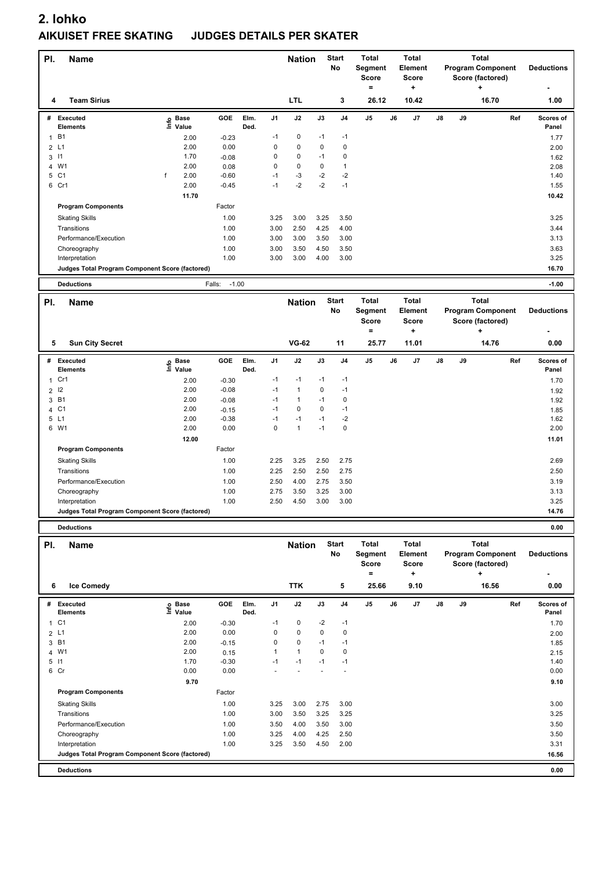| PI.          | <b>Name</b>                                     |                                  |                   |      |                | <b>Nation</b>  |      | <b>Start</b><br>No | <b>Total</b><br>Segment |    | Total<br><b>Element</b> |               |    | <b>Total</b><br><b>Program Component</b> |     | <b>Deductions</b> |
|--------------|-------------------------------------------------|----------------------------------|-------------------|------|----------------|----------------|------|--------------------|-------------------------|----|-------------------------|---------------|----|------------------------------------------|-----|-------------------|
|              |                                                 |                                  |                   |      |                |                |      |                    | <b>Score</b>            |    | <b>Score</b>            |               |    | Score (factored)                         |     |                   |
|              |                                                 |                                  |                   |      |                |                |      |                    | $=$                     |    | ÷                       |               |    |                                          |     |                   |
| 4            | <b>Team Sirius</b>                              |                                  |                   |      |                | <b>LTL</b>     |      | 3                  | 26.12                   |    | 10.42                   |               |    | 16.70                                    |     | 1.00              |
| #            | <b>Executed</b>                                 | <b>Base</b>                      | <b>GOE</b>        | Elm. | J <sub>1</sub> | J2             | J3   | J4                 | J5                      | J6 | J7                      | $\mathsf{J}8$ | J9 |                                          | Ref | Scores of         |
|              | <b>Elements</b>                                 | ١nf٥<br>Value                    |                   | Ded. |                |                |      |                    |                         |    |                         |               |    |                                          |     | Panel             |
| $\mathbf{1}$ | <b>B1</b>                                       | 2.00                             | $-0.23$           |      | $-1$           | 0              | $-1$ | $-1$               |                         |    |                         |               |    |                                          |     | 1.77              |
|              | 2L1                                             | 2.00                             | 0.00              |      | 0              | 0              | 0    | $\pmb{0}$          |                         |    |                         |               |    |                                          |     | 2.00              |
|              | $3 \mid 1$                                      | 1.70                             | $-0.08$           |      | 0              | 0              | $-1$ | 0                  |                         |    |                         |               |    |                                          |     | 1.62              |
| 4            | W1                                              | 2.00                             | 0.08              |      | $\mathsf 0$    | 0              | 0    | 1                  |                         |    |                         |               |    |                                          |     | 2.08              |
|              | 5 C1                                            | f<br>2.00                        | $-0.60$           |      | $-1$           | $-3$           | $-2$ | $-2$               |                         |    |                         |               |    |                                          |     | 1.40              |
|              | 6 Cr1                                           | 2.00                             | $-0.45$           |      | $-1$           | $-2$           | $-2$ | $-1$               |                         |    |                         |               |    |                                          |     | 1.55              |
|              |                                                 | 11.70                            |                   |      |                |                |      |                    |                         |    |                         |               |    |                                          |     | 10.42             |
|              | <b>Program Components</b>                       |                                  | Factor            |      |                |                |      |                    |                         |    |                         |               |    |                                          |     |                   |
|              | <b>Skating Skills</b>                           |                                  | 1.00              |      | 3.25           | 3.00           | 3.25 | 3.50               |                         |    |                         |               |    |                                          |     | 3.25              |
|              | Transitions                                     |                                  | 1.00              |      | 3.00           | 2.50           | 4.25 | 4.00               |                         |    |                         |               |    |                                          |     | 3.44              |
|              | Performance/Execution                           |                                  | 1.00              |      | 3.00           | 3.00           | 3.50 | 3.00               |                         |    |                         |               |    |                                          |     | 3.13              |
|              | Choreography                                    |                                  | 1.00              |      | 3.00           | 3.50           | 4.50 | 3.50               |                         |    |                         |               |    |                                          |     | 3.63              |
|              | Interpretation                                  |                                  | 1.00              |      | 3.00           | 3.00           | 4.00 | 3.00               |                         |    |                         |               |    |                                          |     | 3.25              |
|              | Judges Total Program Component Score (factored) |                                  |                   |      |                |                |      |                    |                         |    |                         |               |    |                                          |     | 16.70             |
|              | <b>Deductions</b>                               |                                  | $-1.00$<br>Falls: |      |                |                |      |                    |                         |    |                         |               |    |                                          |     | $-1.00$           |
|              |                                                 |                                  |                   |      |                |                |      |                    |                         |    |                         |               |    |                                          |     |                   |
| PI.          | <b>Name</b>                                     |                                  |                   |      |                | <b>Nation</b>  |      | <b>Start</b>       | <b>Total</b>            |    | <b>Total</b>            |               |    | <b>Total</b>                             |     |                   |
|              |                                                 |                                  |                   |      |                |                |      | No                 | Segment                 |    | <b>Element</b>          |               |    | <b>Program Component</b>                 |     | <b>Deductions</b> |
|              |                                                 |                                  |                   |      |                |                |      |                    | <b>Score</b>            |    | <b>Score</b>            |               |    | Score (factored)                         |     |                   |
|              |                                                 |                                  |                   |      |                |                |      |                    | $\equiv$                |    | +                       |               |    | ٠                                        |     |                   |
| 5            | <b>Sun City Secret</b>                          |                                  |                   |      |                | <b>VG-62</b>   |      | 11                 | 25.77                   |    | 11.01                   |               |    | 14.76                                    |     | 0.00              |
| #            | Executed                                        | <b>Base</b><br>e Base<br>⊑ Value | GOE               | Elm. | J1             | J2             | J3   | J <sub>4</sub>     | J <sub>5</sub>          | J6 | J7                      | J8            | J9 |                                          | Ref | Scores of         |
|              | <b>Elements</b>                                 |                                  |                   | Ded. |                |                |      |                    |                         |    |                         |               |    |                                          |     | Panel             |
| 1            | Cr1                                             | 2.00                             | $-0.30$           |      | $-1$           | $-1$           | $-1$ | $-1$               |                         |    |                         |               |    |                                          |     | 1.70              |
| 2            | 12                                              | 2.00                             | $-0.08$           |      | $-1$           | $\mathbf{1}$   | 0    | $-1$               |                         |    |                         |               |    |                                          |     | 1.92              |
|              | 3 B1                                            | 2.00                             | $-0.08$           |      | $-1$           | 1              | $-1$ | 0                  |                         |    |                         |               |    |                                          |     | 1.92              |
| 4            | C <sub>1</sub>                                  | 2.00                             | $-0.15$           |      | $-1$           | 0              | 0    | $-1$               |                         |    |                         |               |    |                                          |     | 1.85              |
|              | 5 L1                                            | 2.00                             | $-0.38$           |      | $-1$           | $-1$           | $-1$ | $-2$               |                         |    |                         |               |    |                                          |     | 1.62              |
|              | 6 W1                                            | 2.00                             | 0.00              |      | $\mathbf 0$    | $\mathbf{1}$   | $-1$ | 0                  |                         |    |                         |               |    |                                          |     | 2.00              |
|              |                                                 | 12.00                            |                   |      |                |                |      |                    |                         |    |                         |               |    |                                          |     | 11.01             |
|              | <b>Program Components</b>                       |                                  | Factor            |      |                |                |      |                    |                         |    |                         |               |    |                                          |     |                   |
|              | <b>Skating Skills</b>                           |                                  | 1.00              |      | 2.25           | 3.25           | 2.50 | 2.75               |                         |    |                         |               |    |                                          |     | 2.69              |
|              | Transitions                                     |                                  | 1.00              |      | 2.25           | 2.50           | 2.50 | 2.75               |                         |    |                         |               |    |                                          |     | 2.50              |
|              | Performance/Execution                           |                                  | 1.00              |      | 2.50           | 4.00           | 2.75 | 3.50               |                         |    |                         |               |    |                                          |     | 3.19              |
|              | Choreography                                    |                                  | 1.00              |      | 2.75           | 3.50           | 3.25 | 3.00               |                         |    |                         |               |    |                                          |     | 3.13              |
|              | Interpretation                                  |                                  | 1.00              |      | 2.50           | 4.50           | 3.00 | 3.00               |                         |    |                         |               |    |                                          |     | 3.25              |
|              | Judges Total Program Component Score (factored) |                                  |                   |      |                |                |      |                    |                         |    |                         |               |    |                                          |     | 14.76             |
|              | <b>Deductions</b>                               |                                  |                   |      |                |                |      |                    |                         |    |                         |               |    |                                          |     | 0.00              |
|              |                                                 |                                  |                   |      |                |                |      | <b>Start</b>       | Total                   |    | <b>Total</b>            |               |    | <b>Total</b>                             |     |                   |
| PI.          | Name                                            |                                  |                   |      |                | <b>Nation</b>  |      | No                 | Segment                 |    | Element                 |               |    | <b>Program Component</b>                 |     | <b>Deductions</b> |
|              |                                                 |                                  |                   |      |                |                |      |                    | <b>Score</b>            |    | <b>Score</b>            |               |    | Score (factored)                         |     |                   |
|              |                                                 |                                  |                   |      |                |                |      |                    | $=$                     |    | +                       |               |    | +                                        |     |                   |
|              |                                                 |                                  |                   |      |                |                |      |                    |                         |    |                         |               |    |                                          |     |                   |
| 6            | <b>Ice Comedy</b>                               |                                  |                   |      |                | <b>TTK</b>     |      | 5                  | 25.66                   |    | 9.10                    |               |    | 16.56                                    |     | 0.00              |
|              | # Executed                                      |                                  | GOE               | Elm. | J <sub>1</sub> | J2             | J3   | J4                 | J5                      | J6 | J7                      | J8            | J9 |                                          | Ref | Scores of         |
|              |                                                 |                                  |                   |      |                |                |      |                    |                         |    |                         |               |    |                                          |     |                   |
|              | Elements                                        | e Base<br>⊑ Value                |                   | Ded. |                |                |      |                    |                         |    |                         |               |    |                                          |     | Panel             |
|              | 1 C1                                            | 2.00                             | $-0.30$           |      | $-1$           | 0              | $-2$ | $-1$               |                         |    |                         |               |    |                                          |     | 1.70              |
|              | 2 L1                                            | 2.00                             | 0.00              |      | 0              | 0              | 0    | 0                  |                         |    |                         |               |    |                                          |     | 2.00              |
|              | 3 B1                                            | 2.00                             | $-0.15$           |      | 0              | 0              | $-1$ | $-1$               |                         |    |                         |               |    |                                          |     | 1.85              |
|              | 4 W1                                            | 2.00                             | 0.15              |      | $\mathbf{1}$   | 1              | 0    | 0                  |                         |    |                         |               |    |                                          |     | 2.15              |
|              | $5$ $11$<br>6 Cr                                | 1.70<br>0.00                     | $-0.30$<br>0.00   |      | $-1$           | $-1$<br>$\sim$ | $-1$ | $-1$<br>ä,         |                         |    |                         |               |    |                                          |     | 1.40<br>0.00      |

| <b>Deductions</b>                               |      |         |                          |      |      |                          | 0.00  |  |
|-------------------------------------------------|------|---------|--------------------------|------|------|--------------------------|-------|--|
| Judges Total Program Component Score (factored) |      |         |                          |      |      |                          | 16.56 |  |
| Interpretation                                  |      | 1.00    | 3.25                     | 3.50 | 4.50 | 2.00                     | 3.31  |  |
| Choreography                                    |      | 1.00    | 3.25                     | 4.00 | 4.25 | 2.50                     | 3.50  |  |
| Performance/Execution                           |      | 1.00    | 3.50                     | 4.00 | 3.50 | 3.00                     | 3.50  |  |
| Transitions                                     |      | 1.00    | 3.00                     | 3.50 | 3.25 | 3.25                     | 3.25  |  |
| <b>Skating Skills</b>                           |      | 1.00    | 3.25                     | 3.00 | 2.75 | 3.00                     | 3.00  |  |
| <b>Program Components</b>                       |      | Factor  |                          |      |      |                          |       |  |
|                                                 | 9.70 |         |                          |      |      |                          | 9.10  |  |
| 6 Cr                                            | 0.00 | 0.00    | $\overline{\phantom{a}}$ |      |      | $\overline{\phantom{a}}$ | 0.00  |  |
| 5 11                                            | 1.70 | $-0.30$ | $-1$                     | $-1$ | -1   | $-1$                     | 1.40  |  |
| 4 W1                                            | 2.00 | 0.15    |                          |      | 0    | 0                        | 2.15  |  |
| 3 B1                                            | 2.00 | $-0.15$ | 0                        | 0    | $-1$ | $-1$                     | 1.85  |  |
| 2 L1                                            | 2.00 | 0.00    | 0                        | 0    | 0    | 0                        | 2.00  |  |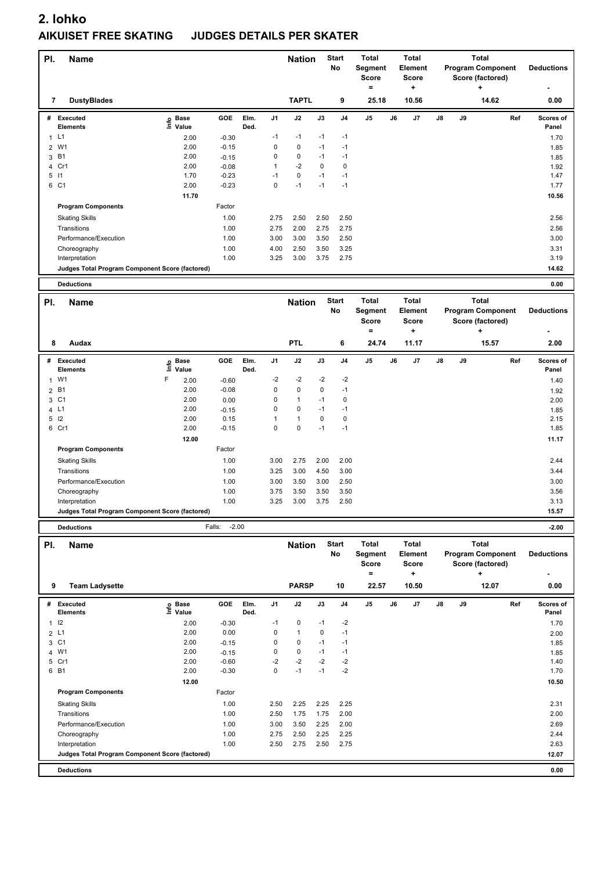| PI.          | <b>Name</b>                                     |                                  |                   |              |             | <b>Nation</b> |      | <b>Start</b><br>No | <b>Total</b><br>Segment<br><b>Score</b> |    | <b>Total</b><br><b>Element</b><br><b>Score</b> |               |    | <b>Total</b><br><b>Program Component</b><br>Score (factored) |     | <b>Deductions</b>  |
|--------------|-------------------------------------------------|----------------------------------|-------------------|--------------|-------------|---------------|------|--------------------|-----------------------------------------|----|------------------------------------------------|---------------|----|--------------------------------------------------------------|-----|--------------------|
| 7            | <b>DustyBlades</b>                              |                                  |                   |              |             | <b>TAPTL</b>  |      | 9                  | $\equiv$<br>25.18                       |    | ٠<br>10.56                                     |               |    | ÷<br>14.62                                                   |     | 0.00               |
| #            | <b>Executed</b><br><b>Elements</b>              | <b>Base</b><br>e Base<br>⊑ Value | GOE               | Elm.<br>Ded. | J1          | J2            | J3   | J <sub>4</sub>     | J5                                      | J6 | J7                                             | $\mathsf{J}8$ | J9 |                                                              | Ref | Scores of<br>Panel |
| $\mathbf{1}$ | L1                                              | 2.00                             | $-0.30$           |              | $-1$        | $-1$          | $-1$ | $-1$               |                                         |    |                                                |               |    |                                                              |     | 1.70               |
| 2            | W1                                              | 2.00                             | $-0.15$           |              | 0           | $\pmb{0}$     | $-1$ | $-1$               |                                         |    |                                                |               |    |                                                              |     |                    |
| 3            | B <sub>1</sub>                                  | 2.00                             | $-0.15$           |              | 0           | $\pmb{0}$     | $-1$ | $-1$               |                                         |    |                                                |               |    |                                                              |     | 1.85<br>1.85       |
|              | 4 Cr1                                           | 2.00                             | $-0.08$           |              | 1           | $-2$          | 0    | 0                  |                                         |    |                                                |               |    |                                                              |     | 1.92               |
| $5$ $11$     |                                                 | 1.70                             | $-0.23$           |              | $-1$        | $\pmb{0}$     | $-1$ | $-1$               |                                         |    |                                                |               |    |                                                              |     | 1.47               |
|              | 6 C1                                            | 2.00                             | $-0.23$           |              | $\mathbf 0$ | $-1$          | $-1$ | $-1$               |                                         |    |                                                |               |    |                                                              |     | 1.77               |
|              |                                                 | 11.70                            |                   |              |             |               |      |                    |                                         |    |                                                |               |    |                                                              |     | 10.56              |
|              | <b>Program Components</b>                       |                                  | Factor            |              |             |               |      |                    |                                         |    |                                                |               |    |                                                              |     |                    |
|              |                                                 |                                  |                   |              |             |               |      |                    |                                         |    |                                                |               |    |                                                              |     |                    |
|              | <b>Skating Skills</b>                           |                                  | 1.00              |              | 2.75        | 2.50          | 2.50 | 2.50               |                                         |    |                                                |               |    |                                                              |     | 2.56               |
|              | Transitions                                     |                                  | 1.00              |              | 2.75        | 2.00          | 2.75 | 2.75               |                                         |    |                                                |               |    |                                                              |     | 2.56               |
|              | Performance/Execution                           |                                  | 1.00              |              | 3.00        | 3.00          | 3.50 | 2.50               |                                         |    |                                                |               |    |                                                              |     | 3.00               |
|              | Choreography                                    |                                  | 1.00              |              | 4.00        | 2.50          | 3.50 | 3.25               |                                         |    |                                                |               |    |                                                              |     | 3.31               |
|              | Interpretation                                  |                                  | 1.00              |              | 3.25        | 3.00          | 3.75 | 2.75               |                                         |    |                                                |               |    |                                                              |     | 3.19               |
|              | Judges Total Program Component Score (factored) |                                  |                   |              |             |               |      |                    |                                         |    |                                                |               |    |                                                              |     | 14.62              |
|              | <b>Deductions</b>                               |                                  |                   |              |             |               |      |                    |                                         |    |                                                |               |    |                                                              |     | 0.00               |
|              |                                                 |                                  |                   |              |             |               |      |                    |                                         |    |                                                |               |    |                                                              |     |                    |
| PI.          | <b>Name</b>                                     |                                  |                   |              |             | <b>Nation</b> |      | <b>Start</b>       | <b>Total</b>                            |    | <b>Total</b>                                   |               |    | <b>Total</b>                                                 |     |                    |
|              |                                                 |                                  |                   |              |             |               |      | No                 | Segment                                 |    | <b>Element</b>                                 |               |    | <b>Program Component</b>                                     |     | <b>Deductions</b>  |
|              |                                                 |                                  |                   |              |             |               |      |                    | <b>Score</b><br>$\equiv$                |    | <b>Score</b><br>٠.                             |               |    | Score (factored)<br>$\ddot{}$                                |     |                    |
|              |                                                 |                                  |                   |              |             |               |      |                    |                                         |    |                                                |               |    |                                                              |     |                    |
| 8            | Audax                                           |                                  |                   |              |             | <b>PTL</b>    |      | 6                  | 24.74                                   |    | 11.17                                          |               |    | 15.57                                                        |     | 2.00               |
| #            | Executed                                        |                                  | GOE               | Elm.         | J1          | J2            | J3   | J <sub>4</sub>     | J5                                      | J6 | J7                                             | J8            | J9 |                                                              | Ref | Scores of          |
|              | <b>Elements</b>                                 | e Base<br>E Value                |                   | Ded.         |             |               |      |                    |                                         |    |                                                |               |    |                                                              |     | Panel              |
| 1            | W <sub>1</sub>                                  | F<br>2.00                        | $-0.60$           |              | $-2$        | $-2$          | $-2$ | $-2$               |                                         |    |                                                |               |    |                                                              |     | 1.40               |
|              | 2 B1                                            | 2.00                             | $-0.08$           |              | 0           | $\pmb{0}$     | 0    | $-1$               |                                         |    |                                                |               |    |                                                              |     | 1.92               |
| 3            | C <sub>1</sub>                                  | 2.00                             | 0.00              |              | 0           | $\mathbf{1}$  | $-1$ | 0                  |                                         |    |                                                |               |    |                                                              |     | 2.00               |
|              | 4 L1                                            | 2.00                             | $-0.15$           |              | 0           | $\pmb{0}$     | $-1$ | $-1$               |                                         |    |                                                |               |    |                                                              |     | 1.85               |
|              | $5$ $12$                                        | 2.00                             | 0.15              |              | 1           | $\mathbf{1}$  | 0    | 0                  |                                         |    |                                                |               |    |                                                              |     | 2.15               |
|              | 6 Cr1                                           | 2.00                             | $-0.15$           |              | $\mathbf 0$ | 0             | $-1$ | $-1$               |                                         |    |                                                |               |    |                                                              |     | 1.85               |
|              |                                                 | 12.00                            |                   |              |             |               |      |                    |                                         |    |                                                |               |    |                                                              |     | 11.17              |
|              | <b>Program Components</b>                       |                                  | Factor            |              |             |               |      |                    |                                         |    |                                                |               |    |                                                              |     |                    |
|              | <b>Skating Skills</b>                           |                                  | 1.00              |              | 3.00        | 2.75          | 2.00 | 2.00               |                                         |    |                                                |               |    |                                                              |     | 2.44               |
|              | Transitions                                     |                                  | 1.00              |              | 3.25        | 3.00          | 4.50 | 3.00               |                                         |    |                                                |               |    |                                                              |     | 3.44               |
|              | Performance/Execution                           |                                  | 1.00              |              | 3.00        | 3.50          | 3.00 | 2.50               |                                         |    |                                                |               |    |                                                              |     | 3.00               |
|              | Choreography                                    |                                  | 1.00              |              | 3.75        | 3.50          | 3.50 | 3.50               |                                         |    |                                                |               |    |                                                              |     | 3.56               |
|              | Interpretation                                  |                                  | 1.00              |              | 3.25        | 3.00          | 3.75 | 2.50               |                                         |    |                                                |               |    |                                                              |     | 3.13               |
|              | Judges Total Program Component Score (factored) |                                  |                   |              |             |               |      |                    |                                         |    |                                                |               |    |                                                              |     | 15.57              |
|              |                                                 |                                  |                   |              |             |               |      |                    |                                         |    |                                                |               |    |                                                              |     |                    |
|              | <b>Deductions</b>                               |                                  | $-2.00$<br>Falls: |              |             |               |      |                    |                                         |    |                                                |               |    |                                                              |     | $-2.00$            |
| PI.          | <b>Name</b>                                     |                                  |                   |              |             | <b>Nation</b> |      | <b>Start</b>       | <b>Total</b>                            |    | Total                                          |               |    | <b>Total</b>                                                 |     |                    |
|              |                                                 |                                  |                   |              |             |               |      | No                 | Segment                                 |    | <b>Element</b>                                 |               |    | <b>Program Component</b>                                     |     | <b>Deductions</b>  |
|              |                                                 |                                  |                   |              |             |               |      |                    | <b>Score</b>                            |    | <b>Score</b>                                   |               |    | Score (factored)                                             |     |                    |
|              |                                                 |                                  |                   |              |             |               |      |                    | $\equiv$                                |    | ÷                                              |               |    | ÷                                                            |     |                    |
| 9            | <b>Team Ladysette</b>                           |                                  |                   |              |             | <b>PARSP</b>  |      | 10                 | 22.57                                   |    | 10.50                                          |               |    | 12.07                                                        |     | 0.00               |
|              | # Executed                                      |                                  | GOE               | Elm.         | J1          | J2            | J3   | J4                 | J5                                      | J6 | J7                                             | J8            | J9 |                                                              | Ref | Scores of          |
|              | Elements                                        | e Base<br>⊑ Value                |                   | Ded.         |             |               |      |                    |                                         |    |                                                |               |    |                                                              |     | Panel              |
|              | $1$ $12$                                        | 2.00                             | $-0.30$           |              | $-1$        | 0             | $-1$ | $-2$               |                                         |    |                                                |               |    |                                                              |     | 1.70               |
|              | 2 L1                                            | 2.00                             | 0.00              |              | $\mathbf 0$ | $\mathbf{1}$  | 0    | $-1$               |                                         |    |                                                |               |    |                                                              |     | 2.00               |
|              | 3 C1                                            | 2.00                             | $-0.15$           |              | $\mathbf 0$ | 0             | $-1$ | $-1$               |                                         |    |                                                |               |    |                                                              |     | 1.85               |
|              | 4 W1                                            | 2.00                             | $-0.15$           |              | $\mathbf 0$ | 0             | $-1$ | $-1$               |                                         |    |                                                |               |    |                                                              |     | 1.85               |
|              | 5 Cr1                                           | 2.00                             | $-0.60$           |              | $-2$        | $-2$          | $-2$ | $-2$               |                                         |    |                                                |               |    |                                                              |     | 1.40               |
|              | 6 B1                                            | 2.00                             | $-0.30$           |              | $\mathbf 0$ | $-1$          | $-1$ | $-2$               |                                         |    |                                                |               |    |                                                              |     | 1.70               |
|              |                                                 | 12.00                            |                   |              |             |               |      |                    |                                         |    |                                                |               |    |                                                              |     | 10.50              |
|              | <b>Program Components</b>                       |                                  | Factor            |              |             |               |      |                    |                                         |    |                                                |               |    |                                                              |     |                    |
|              | <b>Skating Skills</b>                           |                                  | 1.00              |              | 2.50        | 2.25          | 2.25 | 2.25               |                                         |    |                                                |               |    |                                                              |     | 2.31               |
|              | Transitions                                     |                                  | 1.00              |              | 2.50        | 1.75          | 1.75 | 2.00               |                                         |    |                                                |               |    |                                                              |     | 2.00               |
|              | Performance/Execution                           |                                  | 1.00              |              | 3.00        | 3.50          | 2.25 | 2.00               |                                         |    |                                                |               |    |                                                              |     | 2.69               |
|              | Choreography                                    |                                  | 1.00              |              | 2.75        | 2.50          | 2.25 | 2.25               |                                         |    |                                                |               |    |                                                              |     | 2.44               |
|              | Interpretation                                  |                                  | 1.00              |              | 2.50        | 2.75          | 2.50 | 2.75               |                                         |    |                                                |               |    |                                                              |     | 2.63               |

**Deductions 0.00 Judges Total Program Component Score (factored) 12.07**